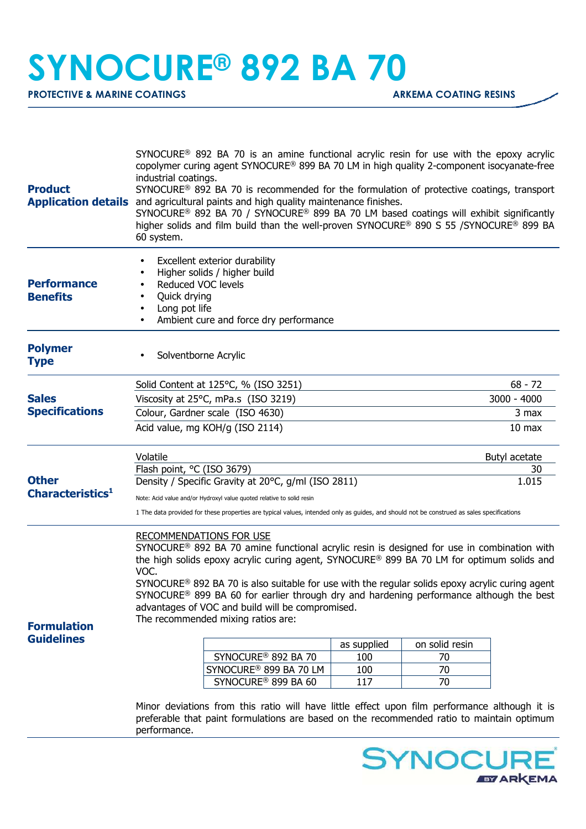## **SYNOCURE® 892 BA 70**

**PROTECTIVE & MARINE COATINGS ARKEMA COATING RESINS** 

| <b>Product</b>                               | $SYNOCURE^{\circ}$ 892 BA 70 is an amine functional acrylic resin for use with the epoxy acrylic<br>copolymer curing agent SYNOCURE® 899 BA 70 LM in high quality 2-component isocyanate-free<br>industrial coatings.<br>SYNOCURE® 892 BA 70 is recommended for the formulation of protective coatings, transport<br>Application details and agricultural paints and high quality maintenance finishes.<br>SYNOCURE <sup>®</sup> 892 BA 70 / SYNOCURE <sup>®</sup> 899 BA 70 LM based coatings will exhibit significantly<br>higher solids and film build than the well-proven SYNOCURE® 890 S 55 /SYNOCURE® 899 BA<br>60 system. |                                    |     |    |               |
|----------------------------------------------|-----------------------------------------------------------------------------------------------------------------------------------------------------------------------------------------------------------------------------------------------------------------------------------------------------------------------------------------------------------------------------------------------------------------------------------------------------------------------------------------------------------------------------------------------------------------------------------------------------------------------------------|------------------------------------|-----|----|---------------|
| <b>Performance</b><br><b>Benefits</b>        | Excellent exterior durability<br>Higher solids / higher build<br>Reduced VOC levels<br>Quick drying<br>Long pot life<br>Ambient cure and force dry performance                                                                                                                                                                                                                                                                                                                                                                                                                                                                    |                                    |     |    |               |
| <b>Polymer</b><br><b>Type</b>                | Solventborne Acrylic                                                                                                                                                                                                                                                                                                                                                                                                                                                                                                                                                                                                              |                                    |     |    |               |
| <b>Sales</b><br><b>Specifications</b>        | Solid Content at 125°C, % (ISO 3251)                                                                                                                                                                                                                                                                                                                                                                                                                                                                                                                                                                                              |                                    |     |    | $68 - 72$     |
|                                              | Viscosity at 25°C, mPa.s (ISO 3219)                                                                                                                                                                                                                                                                                                                                                                                                                                                                                                                                                                                               |                                    |     |    | $3000 - 4000$ |
|                                              | Colour, Gardner scale (ISO 4630)                                                                                                                                                                                                                                                                                                                                                                                                                                                                                                                                                                                                  |                                    |     |    | 3 max         |
|                                              | Acid value, mg KOH/g (ISO 2114)<br>10 <sub>max</sub>                                                                                                                                                                                                                                                                                                                                                                                                                                                                                                                                                                              |                                    |     |    |               |
| <b>Other</b><br>Characteristics <sup>1</sup> | Volatile                                                                                                                                                                                                                                                                                                                                                                                                                                                                                                                                                                                                                          |                                    |     |    | Butyl acetate |
|                                              | Flash point, °C (ISO 3679)                                                                                                                                                                                                                                                                                                                                                                                                                                                                                                                                                                                                        |                                    |     |    | 30            |
|                                              | Density / Specific Gravity at 20°C, g/ml (ISO 2811)<br>1.015                                                                                                                                                                                                                                                                                                                                                                                                                                                                                                                                                                      |                                    |     |    |               |
|                                              | Note: Acid value and/or Hydroxyl value quoted relative to solid resin                                                                                                                                                                                                                                                                                                                                                                                                                                                                                                                                                             |                                    |     |    |               |
|                                              | 1 The data provided for these properties are typical values, intended only as guides, and should not be construed as sales specifications                                                                                                                                                                                                                                                                                                                                                                                                                                                                                         |                                    |     |    |               |
| <b>Formulation</b><br><b>Guidelines</b>      | RECOMMENDATIONS FOR USE<br>SYNOCURE <sup>®</sup> 892 BA 70 amine functional acrylic resin is designed for use in combination with<br>the high solids epoxy acrylic curing agent, SYNOCURE® 899 BA 70 LM for optimum solids and<br>VOC.<br>$SYNOCURE®$ 892 BA 70 is also suitable for use with the regular solids epoxy acrylic curing agent<br>$SYNOCURE^@$ 899 BA 60 for earlier through dry and hardening performance although the best<br>advantages of VOC and build will be compromised.<br>The recommended mixing ratios are:<br>on solid resin<br>as supplied                                                              |                                    |     |    |               |
|                                              |                                                                                                                                                                                                                                                                                                                                                                                                                                                                                                                                                                                                                                   | SYNOCURE <sup>®</sup> 892 BA 70    | 100 | 70 |               |
|                                              |                                                                                                                                                                                                                                                                                                                                                                                                                                                                                                                                                                                                                                   | SYNOCURE <sup>®</sup> 899 BA 70 LM | 100 | 70 |               |
|                                              |                                                                                                                                                                                                                                                                                                                                                                                                                                                                                                                                                                                                                                   | SYNOCURE <sup>®</sup> 899 BA 60    | 117 | 70 |               |
|                                              | Minor deviations from this ratio will have little effect upon film performance although it is<br>preferable that paint formulations are based on the recommended ratio to maintain optimum<br>performance.                                                                                                                                                                                                                                                                                                                                                                                                                        |                                    |     |    |               |